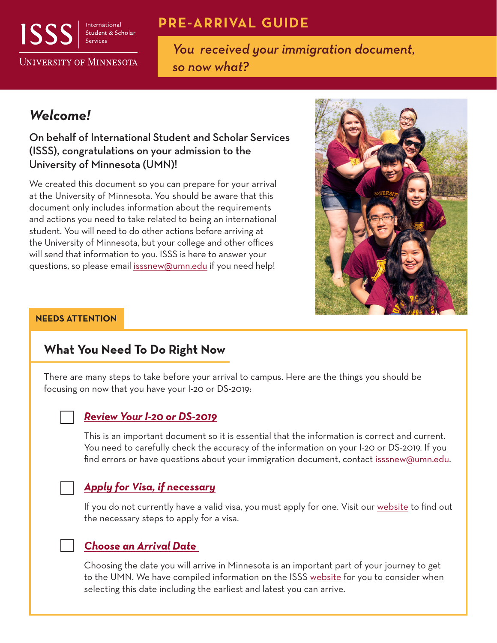

International Student & Scholar

# **PRE-ARRIVAL GUIDE**

**UNIVERSITY OF MINNESOTA** 

*You received your immigration document, so now what?*

# *Welcome!*

### On behalf of International Student and Scholar Services (ISSS), congratulations on your admission to the University of Minnesota (UMN)!

We created this document so you can prepare for your arrival at the University of Minnesota. You should be aware that this document only includes information about the requirements and actions you need to take related to being an international student. You will need to do other actions before arriving at the University of Minnesota, but your college and other offices will send that information to you. ISSS is here to answer your questions, so please email [isssnew@umn.edu](mailto:isssnew@umn.edu) if you need help!



#### **NEEDS ATTENTION**

# **What You Need To Do Right Now**

There are many steps to take before your arrival to campus. Here are the things you should be focusing on now that you have your I-20 or DS-2019:

### *Review Your I-20 or DS-2019*

This is an important document so it is essential that the information is correct and current. You need to carefully check the accuracy of the information on your I-20 or DS-2019. If you find errors or have questions about your immigration document, contac[t isssnew@umn.edu.](mailto:isssnew@umn.edu)

### *Apply for Visa, if necessary*

If you do not currently have a valid visa, you must apply for one. Visit ou[r website t](https://isss.umn.edu/new-students/visa)o find out the necessary steps to apply for a visa.

### *Choose an Arrival Date*

Choosing the date you will arrive in Minnesota is an important part of your journey to get to the UMN. We have compiled information on the ISS[S website f](https://isss.umn.edu/new-students/prepare/arrival-date)or you to consider when selecting this date including the earliest and latest you can arrive.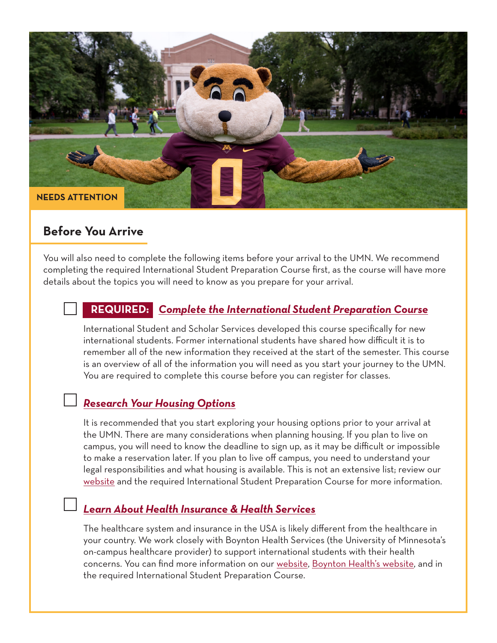

## **Before You Arrive**

You will also need to complete the following items before your arrival to the UMN. We recommend completing the required International Student Preparation Course first, as the course will have more details about the topics you will need to know as you prepare for your arrival.

## **REQUIRED:** *[Complete the International Student Preparation Course](https://isss.umn.edu/new-students/requirements/iprep)*

International Student and Scholar Services developed this course specifically for new international students. Former international students have shared how difficult it is to remember all of the new information they received at the start of the semester. This course is an overview of all of the information you will need as you start your journey to the UMN. You are required to complete this course before you can register for classes.

## *Research Your Housing Options*

It is recommended that you start exploring your housing options prior to your arrival at the UMN. There are many considerations when planning housing. If you plan to live on campus, you will need to know the deadline to sign up, as it may be difficult or impossible to make a reservation later. If you plan to live off campus, you need to understand your legal responsibilities and what housing is available. This is not an extensive list; review our [website a](https://isss.umn.edu/new-students/prepare/housing)nd the required International Student Preparation Course for more information.

## *Learn About Health Insurance & Health Services*

The healthcare system and insurance in the USA is likely different from the healthcare in your country. We work closely with Boynton Health Services (the University of Minnesota's on-campus healthcare provider) to support international students with their health concerns. You can find more information on ou[r website,](https://isss.umn.edu/new-students/living-mn/health-and-insurance) [Boynton Health's website,](https://boynton.umn.edu/patient-focus/international-students) and in the required International Student Preparation Course.